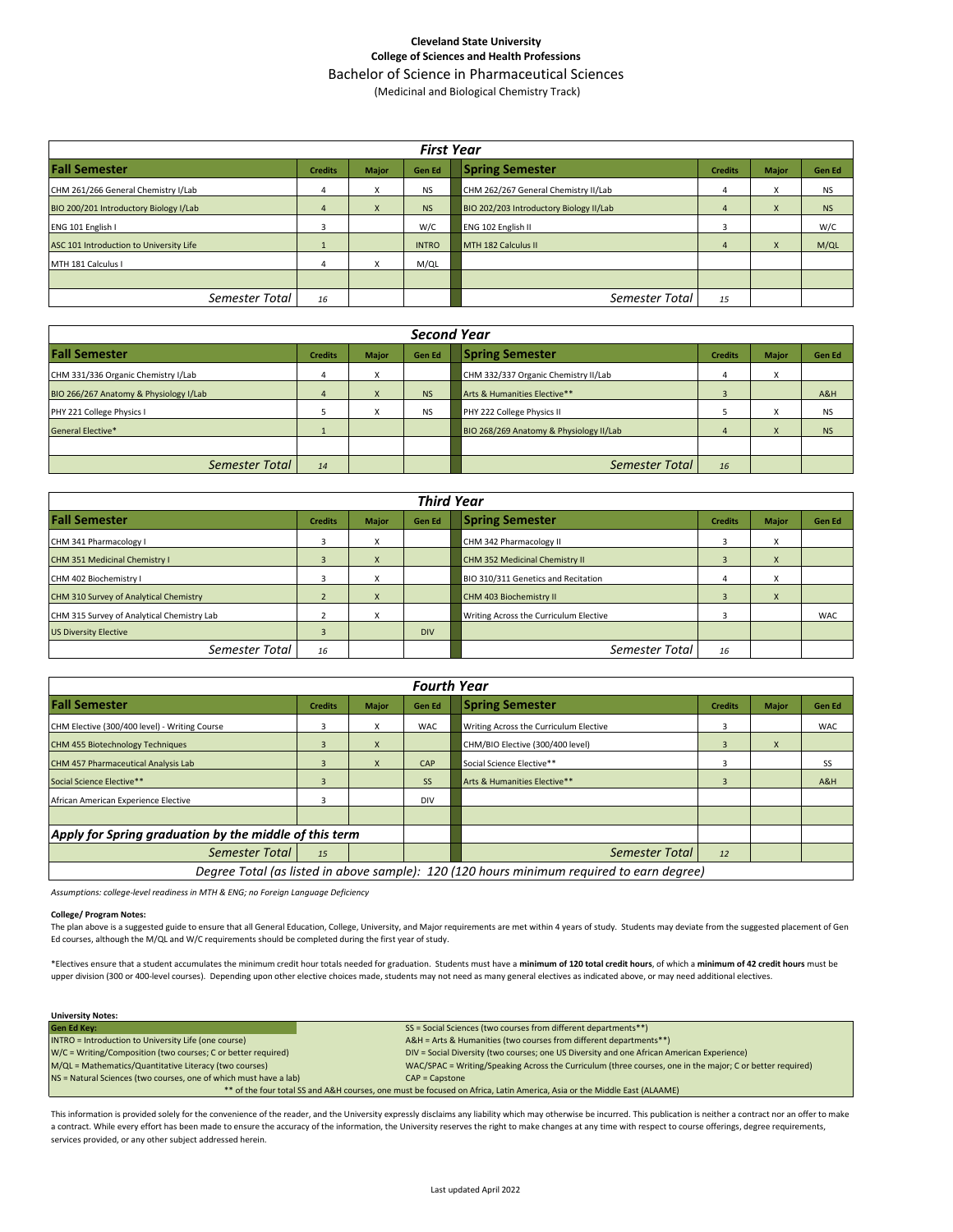## **Cleveland State University College of Sciences and Health Professions**

Bachelor of Science in Pharmaceutical Sciences

(Medicinal and Biological Chemistry Track)

| <b>First Year</b>                       |                |              |               |                                         |                |              |           |  |
|-----------------------------------------|----------------|--------------|---------------|-----------------------------------------|----------------|--------------|-----------|--|
| <b>Fall Semester</b>                    | <b>Credits</b> | <b>Major</b> | <b>Gen Ed</b> | <b>Spring Semester</b>                  | <b>Credits</b> | <b>Major</b> | Gen Ed    |  |
| CHM 261/266 General Chemistry I/Lab     | 4              | X            | <b>NS</b>     | CHM 262/267 General Chemistry II/Lab    | 4              | x            | <b>NS</b> |  |
| BIO 200/201 Introductory Biology I/Lab  | $\overline{4}$ | X            | <b>NS</b>     | BIO 202/203 Introductory Biology II/Lab | -4             | X            | <b>NS</b> |  |
| ENG 101 English I                       | 3              |              | W/C           | ENG 102 English II                      | 3              |              | W/C       |  |
| ASC 101 Introduction to University Life |                |              | <b>INTRO</b>  | MTH 182 Calculus II                     | 4              | X            | M/QL      |  |
| MTH 181 Calculus I                      | 4              | X            | M/QL          |                                         |                |              |           |  |
|                                         |                |              |               |                                         |                |              |           |  |
| Semester Total                          | 16             |              |               | Semester Total                          | 15             |              |           |  |

| <b>Second Year</b>                     |                |              |               |                                         |                |                           |               |
|----------------------------------------|----------------|--------------|---------------|-----------------------------------------|----------------|---------------------------|---------------|
| <b>Fall Semester</b>                   | <b>Credits</b> | <b>Major</b> | <b>Gen Ed</b> | <b>Spring Semester</b>                  | <b>Credits</b> | <b>Major</b>              | <b>Gen Ed</b> |
| CHM 331/336 Organic Chemistry I/Lab    | 4              | x            |               | CHM 332/337 Organic Chemistry II/Lab    | 4              | x                         |               |
| BIO 266/267 Anatomy & Physiology I/Lab | 4              | X            | <b>NS</b>     | Arts & Humanities Elective**            |                |                           | A&H           |
| PHY 221 College Physics I              |                | x            | <b>NS</b>     | PHY 222 College Physics II              |                | $\checkmark$<br>$\lambda$ | <b>NS</b>     |
| <b>General Elective*</b>               |                |              |               | BIO 268/269 Anatomy & Physiology II/Lab |                | X                         | <b>NS</b>     |
|                                        |                |              |               |                                         |                |                           |               |
| Semester Total                         | 14             |              |               | Semester Total                          | 16             |                           |               |

| <b>Third Year</b>                          |                |                           |               |                                        |                |                |               |
|--------------------------------------------|----------------|---------------------------|---------------|----------------------------------------|----------------|----------------|---------------|
| <b>Fall Semester</b>                       | <b>Credits</b> | <b>Major</b>              | <b>Gen Ed</b> | <b>Spring Semester</b>                 | <b>Credits</b> | <b>Major</b>   | <b>Gen Ed</b> |
| CHM 341 Pharmacology I                     |                | X                         |               | CHM 342 Pharmacology II                |                | $\lambda$<br>⋏ |               |
| CHM 351 Medicinal Chemistry I              |                | $\mathsf{X}$              |               | CHM 352 Medicinal Chemistry II         |                | X              |               |
| CHM 402 Biochemistry I                     | 3              | X                         |               | BIO 310/311 Genetics and Recitation    |                | X              |               |
| CHM 310 Survey of Analytical Chemistry     |                | $\boldsymbol{\mathsf{x}}$ |               | CHM 403 Biochemistry II                |                |                |               |
| CHM 315 Survey of Analytical Chemistry Lab |                | X                         |               | Writing Across the Curriculum Elective |                |                | <b>WAC</b>    |
| <b>US Diversity Elective</b>               |                |                           | <b>DIV</b>    |                                        |                |                |               |
| Semester Total                             | 16             |                           |               | Semester Total                         | 16             |                |               |

| <b>Fourth Year</b>                                                                        |                |              |               |                                        |                |              |               |
|-------------------------------------------------------------------------------------------|----------------|--------------|---------------|----------------------------------------|----------------|--------------|---------------|
| <b>Fall Semester</b>                                                                      | <b>Credits</b> | <b>Major</b> | <b>Gen Ed</b> | <b>Spring Semester</b>                 | <b>Credits</b> | <b>Major</b> | <b>Gen Ed</b> |
| CHM Elective (300/400 level) - Writing Course                                             | 3              | X            | <b>WAC</b>    | Writing Across the Curriculum Elective | 3              |              | <b>WAC</b>    |
| <b>CHM 455 Biotechnology Techniques</b>                                                   | 3              | X            |               | CHM/BIO Elective (300/400 level)       |                | X            |               |
| CHM 457 Pharmaceutical Analysis Lab                                                       | $\overline{3}$ | $\mathsf{x}$ | CAP           | Social Science Elective**              | 3              |              | SS            |
| Social Science Elective**                                                                 | $\overline{3}$ |              | <b>SS</b>     | Arts & Humanities Elective**           |                |              | A&H           |
| African American Experience Elective                                                      | 3              |              | <b>DIV</b>    |                                        |                |              |               |
|                                                                                           |                |              |               |                                        |                |              |               |
| Apply for Spring graduation by the middle of this term                                    |                |              |               |                                        |                |              |               |
| Semester Total                                                                            | 15             |              |               | Semester Total                         | 12             |              |               |
| Degree Total (as listed in above sample): 120 (120 hours minimum required to earn degree) |                |              |               |                                        |                |              |               |

*Assumptions: college-level readiness in MTH & ENG; no Foreign Language Deficiency*

## **College/ Program Notes:**

The plan above is a suggested guide to ensure that all General Education, College, University, and Major requirements are met within 4 years of study. Students may deviate from the suggested placement of Gen Ed courses, although the M/QL and W/C requirements should be completed during the first year of study.

\*Electives ensure that a student accumulates the minimum credit hour totals needed for graduation. Students must have a **minimum of 120 total credit hours**, of which a **minimum of 42 credit hours** must be upper division (300 or 400-level courses). Depending upon other elective choices made, students may not need as many general electives as indicated above, or may need additional electives.

| SS = Social Sciences (two courses from different departments**)                                                         |  |  |  |  |  |
|-------------------------------------------------------------------------------------------------------------------------|--|--|--|--|--|
| A&H = Arts & Humanities (two courses from different departments**)                                                      |  |  |  |  |  |
| DIV = Social Diversity (two courses; one US Diversity and one African American Experience)                              |  |  |  |  |  |
| WAC/SPAC = Writing/Speaking Across the Curriculum (three courses, one in the major; C or better required)               |  |  |  |  |  |
| $CAP = \text{Capstone}$                                                                                                 |  |  |  |  |  |
| ** of the four total SS and A&H courses, one must be focused on Africa, Latin America, Asia or the Middle East (ALAAME) |  |  |  |  |  |
|                                                                                                                         |  |  |  |  |  |

This information is provided solely for the convenience of the reader, and the University expressly disclaims any liability which may otherwise be incurred. This publication is neither a contract nor an offer to make a contract. While every effort has been made to ensure the accuracy of the information, the University reserves the right to make changes at any time with respect to course offerings, degree requirements, services provided, or any other subject addressed herein.